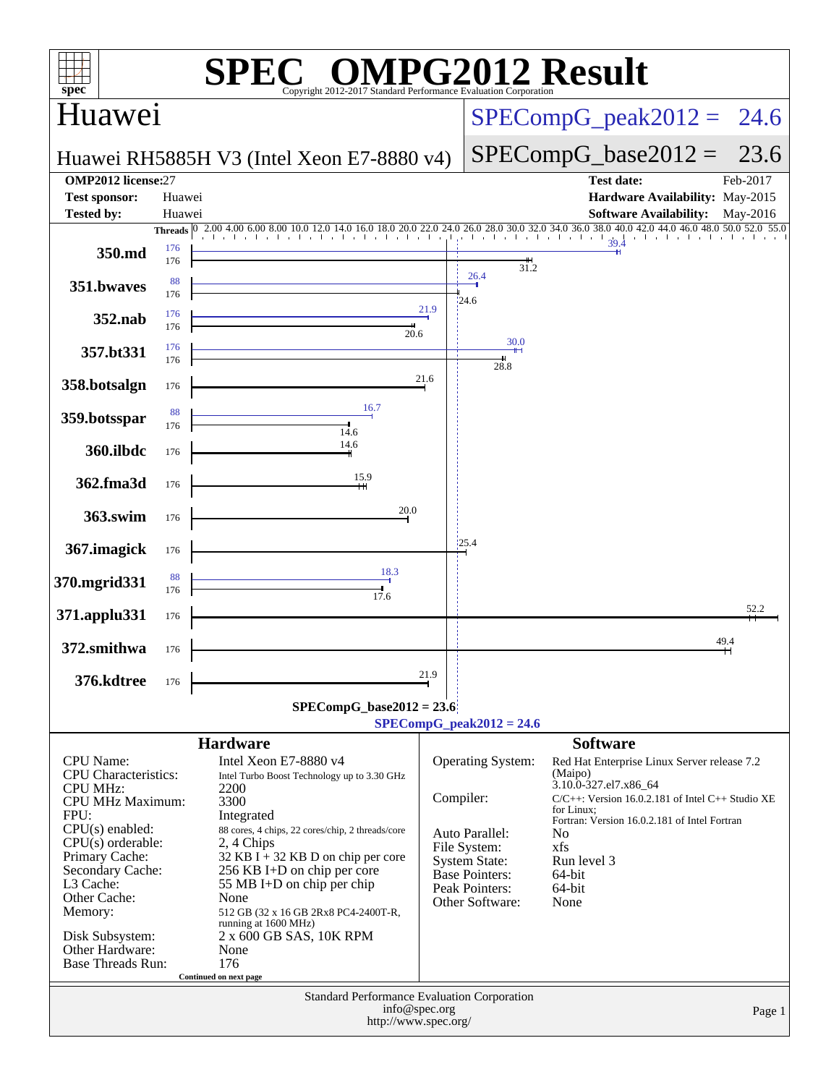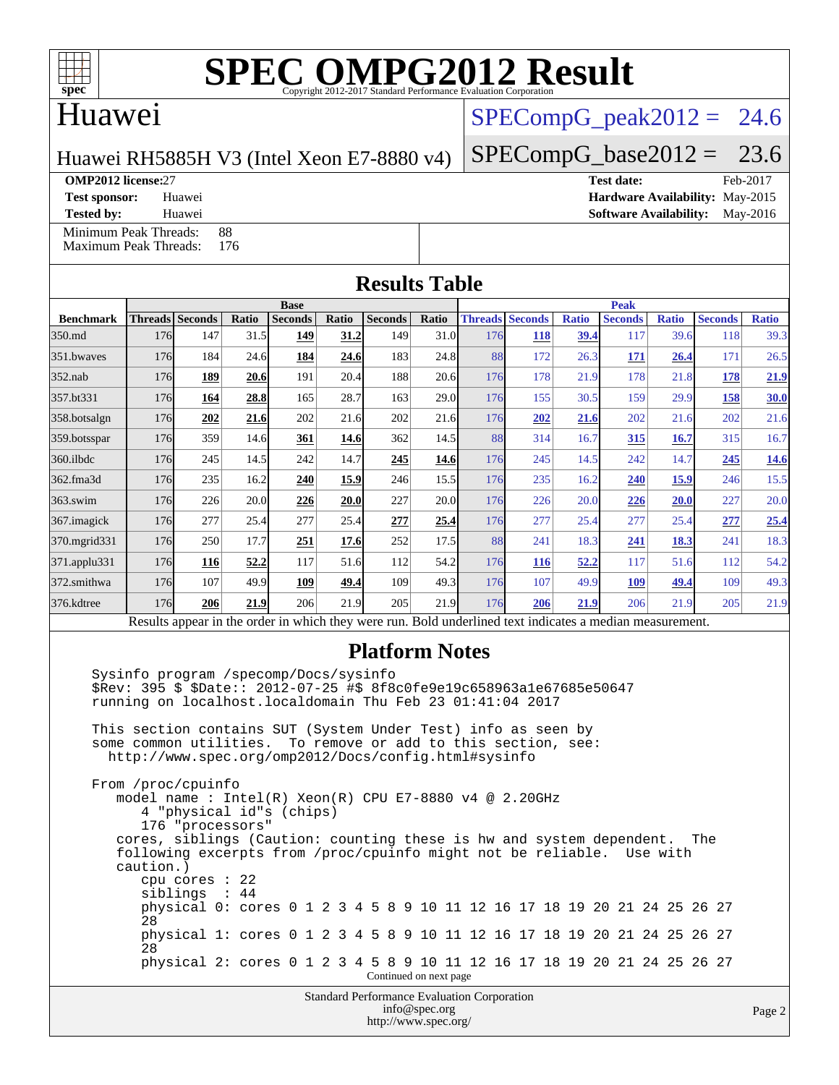

### Huawei

### $SPECompG_peak2012 = 24.6$  $SPECompG_peak2012 = 24.6$

Huawei RH5885H V3 (Intel Xeon E7-8880 v4)

### $SPECompG_base2012 = 23.6$  $SPECompG_base2012 = 23.6$

#### **[OMP2012 license:](http://www.spec.org/auto/omp2012/Docs/result-fields.html#OMP2012license)**27 **[Test date:](http://www.spec.org/auto/omp2012/Docs/result-fields.html#Testdate)** Feb-2017

[Minimum Peak Threads:](http://www.spec.org/auto/omp2012/Docs/result-fields.html#MinimumPeakThreads) 88<br>Maximum Peak Threads: 176 [Maximum Peak Threads:](http://www.spec.org/auto/omp2012/Docs/result-fields.html#MaximumPeakThreads)

**[Test sponsor:](http://www.spec.org/auto/omp2012/Docs/result-fields.html#Testsponsor)** Huawei **[Hardware Availability:](http://www.spec.org/auto/omp2012/Docs/result-fields.html#HardwareAvailability)** May-2015 **[Tested by:](http://www.spec.org/auto/omp2012/Docs/result-fields.html#Testedby)** Huawei **[Software Availability:](http://www.spec.org/auto/omp2012/Docs/result-fields.html#SoftwareAvailability)** May-2016

| <b>Results Table</b>                                                                                     |     |                 |       |                |       |                |       |             |                        |              |                |              |                |              |
|----------------------------------------------------------------------------------------------------------|-----|-----------------|-------|----------------|-------|----------------|-------|-------------|------------------------|--------------|----------------|--------------|----------------|--------------|
|                                                                                                          |     |                 |       | <b>Base</b>    |       |                |       | <b>Peak</b> |                        |              |                |              |                |              |
| <b>Benchmark</b>                                                                                         |     | Threads Seconds | Ratio | <b>Seconds</b> | Ratio | <b>Seconds</b> | Ratio |             | <b>Threads Seconds</b> | <b>Ratio</b> | <b>Seconds</b> | <b>Ratio</b> | <b>Seconds</b> | <b>Ratio</b> |
| 350.md                                                                                                   | 176 | 147             | 31.5  | 149            | 31.2  | 149            | 31.0  | 176         | <b>118</b>             | 39.4         | 117            | 39.6         | 118            | 39.3         |
| 351.bwaves                                                                                               | 176 | 184             | 24.6  | 184            | 24.6  | 183            | 24.8  | 88          | 172                    | 26.3         | 171            | 26.4         | 171            | 26.5         |
| $352$ .nab                                                                                               | 176 | 189             | 20.6  | 191            | 20.4  | 188            | 20.6  | 176         | 178                    | 21.9         | 178            | 21.8         | 178            | 21.9         |
| 357.bt331                                                                                                | 176 | 164             | 28.8  | 165            | 28.7  | 163            | 29.0  | 176         | 155                    | 30.5         | 159            | 29.9         | 158            | 30.0         |
| 358.botsalgn                                                                                             | 176 | 202             | 21.6  | 202            | 21.6  | 202            | 21.6  | 176         | 202                    | 21.6         | 202            | 21.6         | 202            | 21.6         |
| 359.botsspar                                                                                             | 176 | 359             | 14.6  | 361            | 14.6  | 362            | 14.5  | 88          | 314                    | 16.7         | 315            | 16.7         | 315            | 16.7         |
| 360.ilbdc                                                                                                | 176 | 245             | 14.5  | 242            | 14.7  | 245            | 14.6  | 176         | 245                    | 14.5         | 242            | 14.7         | 245            | <b>14.6</b>  |
| 362.fma3d                                                                                                | 176 | 235             | 16.2  | 240            | 15.9  | 246            | 15.5  | 176         | 235                    | 16.2         | 240            | 15.9         | 246            | 15.5         |
| 363.swim                                                                                                 | 176 | 226             | 20.0  | 226            | 20.0  | 227            | 20.0  | 176         | 226                    | 20.0         | 226            | <b>20.0</b>  | 227            | 20.0         |
| 367.imagick                                                                                              | 176 | 277             | 25.4  | 277            | 25.4  | 277            | 25.4  | 176         | 277                    | 25.4         | 277            | 25.4         | 277            | 25.4         |
| 370.mgrid331                                                                                             | 176 | 250             | 17.7  | 251            | 17.6  | 252            | 17.5  | 88          | 241                    | 18.3         | 241            | 18.3         | 241            | 18.3         |
| 371.applu331                                                                                             | 176 | 116             | 52.2  | 117            | 51.6  | 112            | 54.2  | 176         | 116                    | 52.2         | 117            | 51.6         | 112            | 54.2         |
| 372.smithwa                                                                                              | 176 | 107             | 49.9  | 109            | 49.4  | 109            | 49.3  | 176         | 107                    | 49.9         | <b>109</b>     | 49.4         | 109            | 49.3         |
| 376.kdtree                                                                                               | 176 | 206             | 21.9  | 206            | 21.9  | 205            | 21.9  | 176         | 206                    | 21.9         | 206            | 21.9         | 205            | 21.9         |
| Results appear in the order in which they were run. Bold underlined text indicates a median measurement. |     |                 |       |                |       |                |       |             |                        |              |                |              |                |              |

### **[Platform Notes](http://www.spec.org/auto/omp2012/Docs/result-fields.html#PlatformNotes)**

Standard Performance Evaluation Corporation [info@spec.org](mailto:info@spec.org) Sysinfo program /specomp/Docs/sysinfo \$Rev: 395 \$ \$Date:: 2012-07-25 #\$ 8f8c0fe9e19c658963a1e67685e50647 running on localhost.localdomain Thu Feb 23 01:41:04 2017 This section contains SUT (System Under Test) info as seen by some common utilities. To remove or add to this section, see: <http://www.spec.org/omp2012/Docs/config.html#sysinfo> From /proc/cpuinfo model name : Intel(R) Xeon(R) CPU E7-8880 v4 @ 2.20GHz 4 "physical id"s (chips) 176 "processors" cores, siblings (Caution: counting these is hw and system dependent. The following excerpts from /proc/cpuinfo might not be reliable. Use with caution.) cpu cores : 22 siblings : 44 physical 0: cores 0 1 2 3 4 5 8 9 10 11 12 16 17 18 19 20 21 24 25 26 27 28 physical 1: cores 0 1 2 3 4 5 8 9 10 11 12 16 17 18 19 20 21 24 25 26 27 28 physical 2: cores 0 1 2 3 4 5 8 9 10 11 12 16 17 18 19 20 21 24 25 26 27 Continued on next page

<http://www.spec.org/>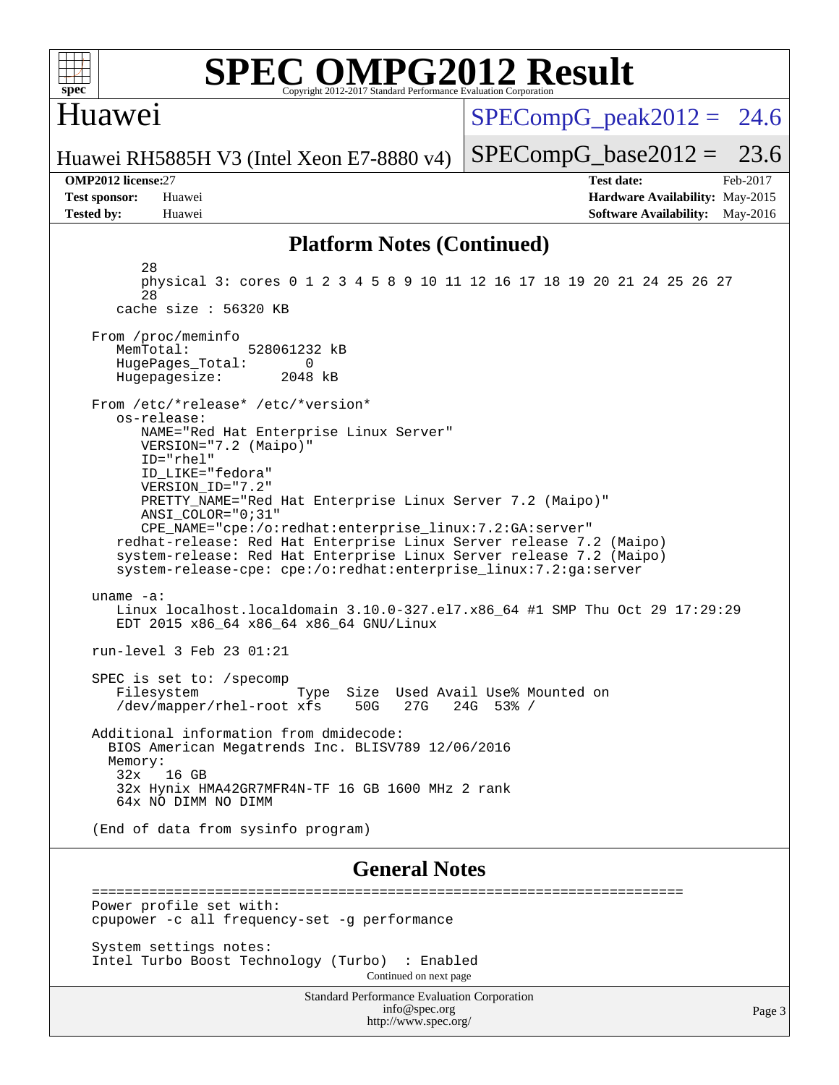

### Huawei

 $SPECompG<sub>peak2012</sub> = 24.6$ 

Huawei RH5885H V3 (Intel Xeon E7-8880 v4)

#### **[OMP2012 license:](http://www.spec.org/auto/omp2012/Docs/result-fields.html#OMP2012license)**27 **[Test date:](http://www.spec.org/auto/omp2012/Docs/result-fields.html#Testdate)** Feb-2017

 $SPECompG_base2012 = 23.6$  $SPECompG_base2012 = 23.6$ 

**[Test sponsor:](http://www.spec.org/auto/omp2012/Docs/result-fields.html#Testsponsor)** Huawei **[Hardware Availability:](http://www.spec.org/auto/omp2012/Docs/result-fields.html#HardwareAvailability)** May-2015 **[Tested by:](http://www.spec.org/auto/omp2012/Docs/result-fields.html#Testedby)** Huawei **[Software Availability:](http://www.spec.org/auto/omp2012/Docs/result-fields.html#SoftwareAvailability)** May-2016

### **[Platform Notes \(Continued\)](http://www.spec.org/auto/omp2012/Docs/result-fields.html#PlatformNotes)**

 28 physical 3: cores 0 1 2 3 4 5 8 9 10 11 12 16 17 18 19 20 21 24 25 26 27 28 cache size : 56320 KB From /proc/meminfo MemTotal: 528061232 kB HugePages\_Total: 0<br>Hugepagesize: 2048 kB Hugepagesize: From /etc/\*release\* /etc/\*version\* os-release: NAME="Red Hat Enterprise Linux Server" VERSION="7.2 (Maipo)" ID="rhel" ID\_LIKE="fedora" VERSION\_ID="7.2" PRETTY\_NAME="Red Hat Enterprise Linux Server 7.2 (Maipo)" ANSI\_COLOR="0;31" CPE\_NAME="cpe:/o:redhat:enterprise\_linux:7.2:GA:server" redhat-release: Red Hat Enterprise Linux Server release 7.2 (Maipo) system-release: Red Hat Enterprise Linux Server release 7.2 (Maipo) system-release-cpe: cpe:/o:redhat:enterprise\_linux:7.2:ga:server uname -a: Linux localhost.localdomain 3.10.0-327.el7.x86\_64 #1 SMP Thu Oct 29 17:29:29 EDT 2015 x86\_64 x86\_64 x86\_64 GNU/Linux run-level 3 Feb 23 01:21 SPEC is set to: /specomp Filesystem Type Size Used Avail Use% Mounted on<br>
/dev/mapper/rhel-root xfs 50G 27G 24G 53% / /dev/mapper/rhel-root xfs 50G 27G Additional information from dmidecode: BIOS American Megatrends Inc. BLISV789 12/06/2016 Memory:<br>32x 32x 16 GB 32x Hynix HMA42GR7MFR4N-TF 16 GB 1600 MHz 2 rank 64x NO DIMM NO DIMM (End of data from sysinfo program) **[General Notes](http://www.spec.org/auto/omp2012/Docs/result-fields.html#GeneralNotes)** ========================================================================

 Power profile set with: cpupower -c all frequency-set -g performance

 System settings notes: Intel Turbo Boost Technology (Turbo) : Enabled Continued on next page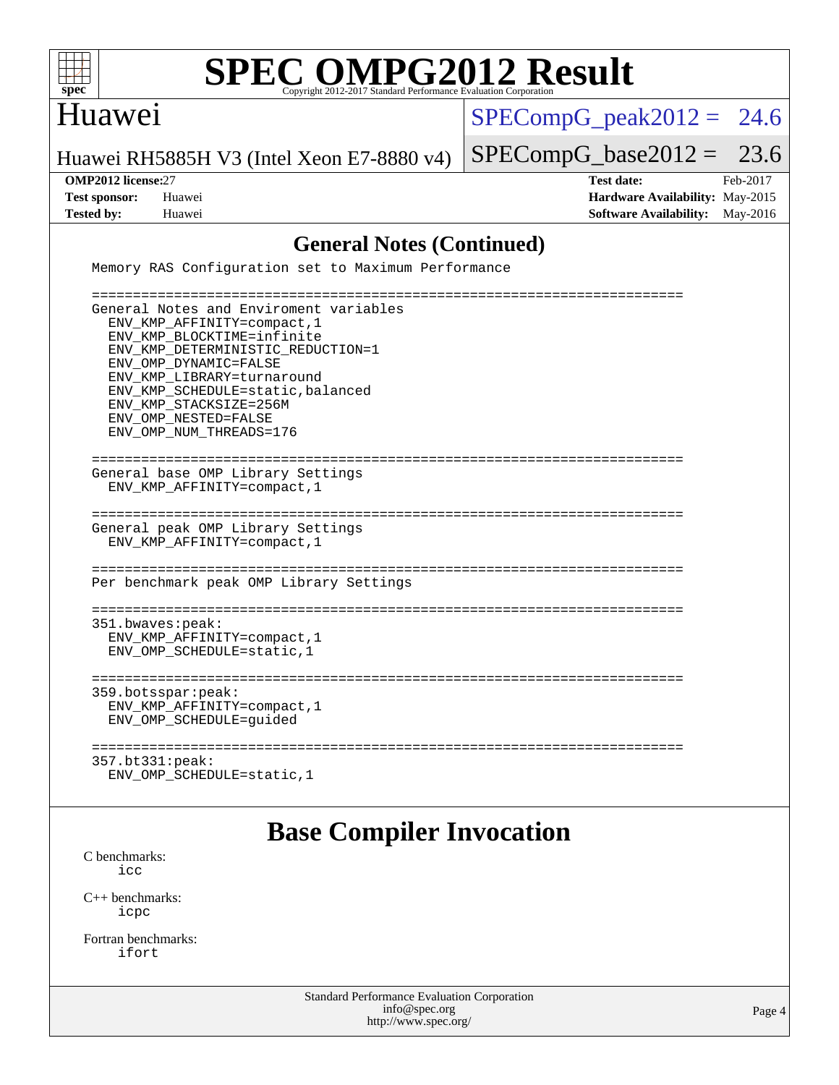

### Huawei

 $SPECompG_peak2012 = 24.6$  $SPECompG_peak2012 = 24.6$ 

Huawei RH5885H V3 (Intel Xeon E7-8880 v4)

 $SPECompG_base2012 = 23.6$  $SPECompG_base2012 = 23.6$ 

**[OMP2012 license:](http://www.spec.org/auto/omp2012/Docs/result-fields.html#OMP2012license)**27 **[Test date:](http://www.spec.org/auto/omp2012/Docs/result-fields.html#Testdate)** Feb-2017 **[Test sponsor:](http://www.spec.org/auto/omp2012/Docs/result-fields.html#Testsponsor)** Huawei **[Hardware Availability:](http://www.spec.org/auto/omp2012/Docs/result-fields.html#HardwareAvailability)** May-2015 **[Tested by:](http://www.spec.org/auto/omp2012/Docs/result-fields.html#Testedby)** Huawei **[Software Availability:](http://www.spec.org/auto/omp2012/Docs/result-fields.html#SoftwareAvailability)** May-2016

### **[General Notes \(Continued\)](http://www.spec.org/auto/omp2012/Docs/result-fields.html#GeneralNotes)**

Memory RAS Configuration set to Maximum Performance

 ======================================================================== General Notes and Enviroment variables ENV\_KMP\_AFFINITY=compact,1 ENV\_KMP\_BLOCKTIME=infinite ENV KMP\_DETERMINISTIC\_REDUCTION=1 ENV\_OMP\_DYNAMIC=FALSE ENV\_KMP\_LIBRARY=turnaround ENV\_KMP\_SCHEDULE=static,balanced ENV\_KMP\_STACKSIZE=256M ENV\_OMP\_NESTED=FALSE ENV\_OMP\_NUM\_THREADS=176 ======================================================================== General base OMP Library Settings ENV\_KMP\_AFFINITY=compact,1 ======================================================================== General peak OMP Library Settings ENV\_KMP\_AFFINITY=compact,1 ======================================================================== Per benchmark peak OMP Library Settings ======================================================================== 351.bwaves:peak: ENV\_KMP\_AFFINITY=compact,1 ENV\_OMP\_SCHEDULE=static,1 ======================================================================== 359.botsspar:peak: ENV\_KMP\_AFFINITY=compact,1 ENV\_OMP\_SCHEDULE=guided ======================================================================== 357.bt331:peak: ENV\_OMP\_SCHEDULE=static,1

### **[Base Compiler Invocation](http://www.spec.org/auto/omp2012/Docs/result-fields.html#BaseCompilerInvocation)**

[C benchmarks](http://www.spec.org/auto/omp2012/Docs/result-fields.html#Cbenchmarks): [icc](http://www.spec.org/omp2012/results/res2017q1/omp2012-20170223-00095.flags.html#user_CCbase_intel_icc_a87c68a857bc5ec5362391a49d3a37a6)

[C++ benchmarks:](http://www.spec.org/auto/omp2012/Docs/result-fields.html#CXXbenchmarks) [icpc](http://www.spec.org/omp2012/results/res2017q1/omp2012-20170223-00095.flags.html#user_CXXbase_intel_icpc_2d899f8d163502b12eb4a60069f80c1c)

[Fortran benchmarks](http://www.spec.org/auto/omp2012/Docs/result-fields.html#Fortranbenchmarks): [ifort](http://www.spec.org/omp2012/results/res2017q1/omp2012-20170223-00095.flags.html#user_FCbase_intel_ifort_8a5e5e06b19a251bdeaf8fdab5d62f20)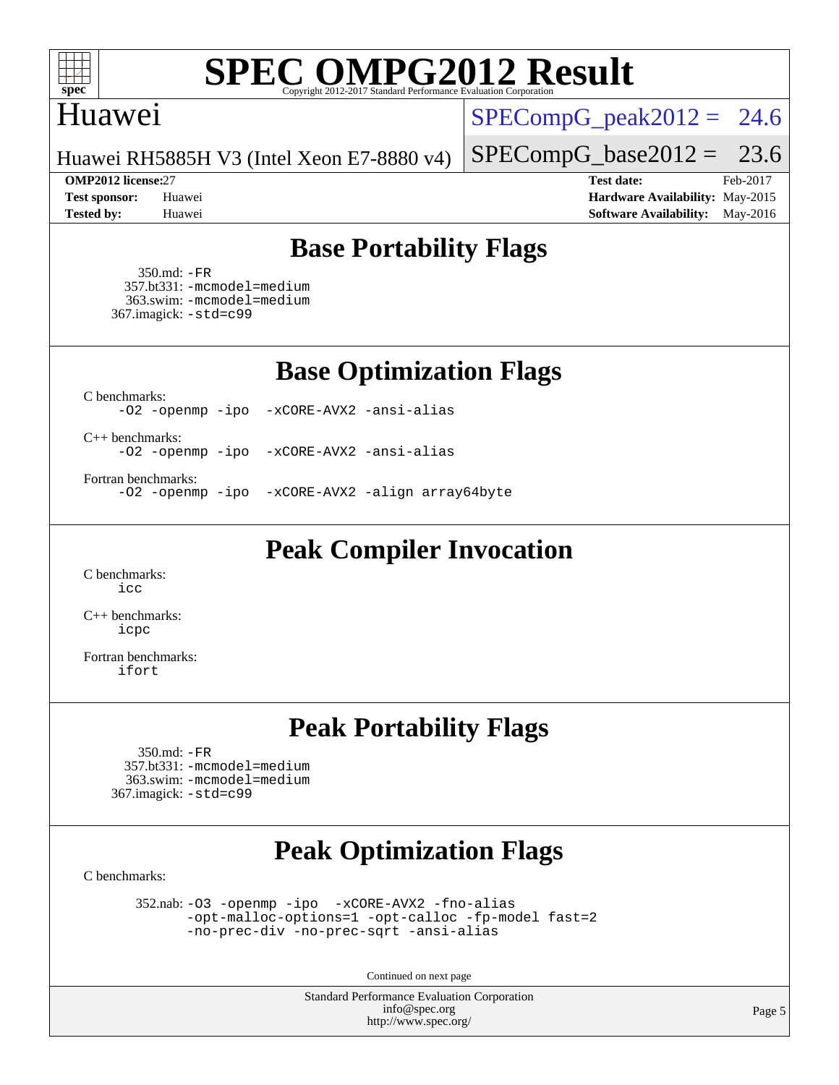

### Huawei

 $SPECompG_peak2012 = 24.6$  $SPECompG_peak2012 = 24.6$ 

Huawei RH5885H V3 (Intel Xeon E7-8880 v4)

#### **[OMP2012 license:](http://www.spec.org/auto/omp2012/Docs/result-fields.html#OMP2012license)**27 **[Test date:](http://www.spec.org/auto/omp2012/Docs/result-fields.html#Testdate)** Feb-2017

 $SPECompG_base2012 = 23.6$  $SPECompG_base2012 = 23.6$ 

**[Test sponsor:](http://www.spec.org/auto/omp2012/Docs/result-fields.html#Testsponsor)** Huawei **[Hardware Availability:](http://www.spec.org/auto/omp2012/Docs/result-fields.html#HardwareAvailability)** May-2015 **[Tested by:](http://www.spec.org/auto/omp2012/Docs/result-fields.html#Testedby)** Huawei **[Software Availability:](http://www.spec.org/auto/omp2012/Docs/result-fields.html#SoftwareAvailability)** May-2016

### **[Base Portability Flags](http://www.spec.org/auto/omp2012/Docs/result-fields.html#BasePortabilityFlags)**

 350.md: [-FR](http://www.spec.org/omp2012/results/res2017q1/omp2012-20170223-00095.flags.html#user_baseFPORTABILITY350_md_f-FR) 357.bt331: [-mcmodel=medium](http://www.spec.org/omp2012/results/res2017q1/omp2012-20170223-00095.flags.html#user_basePORTABILITY357_bt331_f-mcmodel_3a41622424bdd074c4f0f2d2f224c7e5) 363.swim: [-mcmodel=medium](http://www.spec.org/omp2012/results/res2017q1/omp2012-20170223-00095.flags.html#user_basePORTABILITY363_swim_f-mcmodel_3a41622424bdd074c4f0f2d2f224c7e5) 367.imagick: [-std=c99](http://www.spec.org/omp2012/results/res2017q1/omp2012-20170223-00095.flags.html#user_baseCPORTABILITY367_imagick_f-std_2ec6533b6e06f1c4a6c9b78d9e9cde24)

**[Base Optimization Flags](http://www.spec.org/auto/omp2012/Docs/result-fields.html#BaseOptimizationFlags)**

[C benchmarks](http://www.spec.org/auto/omp2012/Docs/result-fields.html#Cbenchmarks):

[-O2](http://www.spec.org/omp2012/results/res2017q1/omp2012-20170223-00095.flags.html#user_CCbase_f-O2) [-openmp](http://www.spec.org/omp2012/results/res2017q1/omp2012-20170223-00095.flags.html#user_CCbase_f-openmp) [-ipo](http://www.spec.org/omp2012/results/res2017q1/omp2012-20170223-00095.flags.html#user_CCbase_f-ipo_84062ab53814f613187d02344b8f49a7) [-xCORE-AVX2](http://www.spec.org/omp2012/results/res2017q1/omp2012-20170223-00095.flags.html#user_CCbase_f-xCORE-AVX2) [-ansi-alias](http://www.spec.org/omp2012/results/res2017q1/omp2012-20170223-00095.flags.html#user_CCbase_f-ansi-alias)

[C++ benchmarks:](http://www.spec.org/auto/omp2012/Docs/result-fields.html#CXXbenchmarks)

[-O2](http://www.spec.org/omp2012/results/res2017q1/omp2012-20170223-00095.flags.html#user_CXXbase_f-O2) [-openmp](http://www.spec.org/omp2012/results/res2017q1/omp2012-20170223-00095.flags.html#user_CXXbase_f-openmp) [-ipo](http://www.spec.org/omp2012/results/res2017q1/omp2012-20170223-00095.flags.html#user_CXXbase_f-ipo_84062ab53814f613187d02344b8f49a7) [-xCORE-AVX2](http://www.spec.org/omp2012/results/res2017q1/omp2012-20170223-00095.flags.html#user_CXXbase_f-xCORE-AVX2) [-ansi-alias](http://www.spec.org/omp2012/results/res2017q1/omp2012-20170223-00095.flags.html#user_CXXbase_f-ansi-alias)

[Fortran benchmarks](http://www.spec.org/auto/omp2012/Docs/result-fields.html#Fortranbenchmarks):

[-O2](http://www.spec.org/omp2012/results/res2017q1/omp2012-20170223-00095.flags.html#user_FCbase_f-O2) [-openmp](http://www.spec.org/omp2012/results/res2017q1/omp2012-20170223-00095.flags.html#user_FCbase_f-openmp) [-ipo](http://www.spec.org/omp2012/results/res2017q1/omp2012-20170223-00095.flags.html#user_FCbase_f-ipo_84062ab53814f613187d02344b8f49a7) [-xCORE-AVX2](http://www.spec.org/omp2012/results/res2017q1/omp2012-20170223-00095.flags.html#user_FCbase_f-xCORE-AVX2) [-align array64byte](http://www.spec.org/omp2012/results/res2017q1/omp2012-20170223-00095.flags.html#user_FCbase_f-align_c9377f996e966d652baaf753401d4725)

**[Peak Compiler Invocation](http://www.spec.org/auto/omp2012/Docs/result-fields.html#PeakCompilerInvocation)**

[C benchmarks](http://www.spec.org/auto/omp2012/Docs/result-fields.html#Cbenchmarks): [icc](http://www.spec.org/omp2012/results/res2017q1/omp2012-20170223-00095.flags.html#user_CCpeak_intel_icc_a87c68a857bc5ec5362391a49d3a37a6)

[C++ benchmarks:](http://www.spec.org/auto/omp2012/Docs/result-fields.html#CXXbenchmarks) [icpc](http://www.spec.org/omp2012/results/res2017q1/omp2012-20170223-00095.flags.html#user_CXXpeak_intel_icpc_2d899f8d163502b12eb4a60069f80c1c)

[Fortran benchmarks](http://www.spec.org/auto/omp2012/Docs/result-fields.html#Fortranbenchmarks): [ifort](http://www.spec.org/omp2012/results/res2017q1/omp2012-20170223-00095.flags.html#user_FCpeak_intel_ifort_8a5e5e06b19a251bdeaf8fdab5d62f20)

### **[Peak Portability Flags](http://www.spec.org/auto/omp2012/Docs/result-fields.html#PeakPortabilityFlags)**

 350.md: [-FR](http://www.spec.org/omp2012/results/res2017q1/omp2012-20170223-00095.flags.html#user_peakFPORTABILITY350_md_f-FR) 357.bt331: [-mcmodel=medium](http://www.spec.org/omp2012/results/res2017q1/omp2012-20170223-00095.flags.html#user_peakPORTABILITY357_bt331_f-mcmodel_3a41622424bdd074c4f0f2d2f224c7e5) 363.swim: [-mcmodel=medium](http://www.spec.org/omp2012/results/res2017q1/omp2012-20170223-00095.flags.html#user_peakPORTABILITY363_swim_f-mcmodel_3a41622424bdd074c4f0f2d2f224c7e5) 367.imagick: [-std=c99](http://www.spec.org/omp2012/results/res2017q1/omp2012-20170223-00095.flags.html#user_peakCPORTABILITY367_imagick_f-std_2ec6533b6e06f1c4a6c9b78d9e9cde24)

## **[Peak Optimization Flags](http://www.spec.org/auto/omp2012/Docs/result-fields.html#PeakOptimizationFlags)**

[C benchmarks](http://www.spec.org/auto/omp2012/Docs/result-fields.html#Cbenchmarks):

 352.nab: [-O3](http://www.spec.org/omp2012/results/res2017q1/omp2012-20170223-00095.flags.html#user_peakOPTIMIZE352_nab_f-O3) [-openmp](http://www.spec.org/omp2012/results/res2017q1/omp2012-20170223-00095.flags.html#user_peakOPTIMIZE352_nab_f-openmp) [-ipo](http://www.spec.org/omp2012/results/res2017q1/omp2012-20170223-00095.flags.html#user_peakOPTIMIZE352_nab_f-ipo_84062ab53814f613187d02344b8f49a7) [-xCORE-AVX2](http://www.spec.org/omp2012/results/res2017q1/omp2012-20170223-00095.flags.html#user_peakOPTIMIZE352_nab_f-xCORE-AVX2) [-fno-alias](http://www.spec.org/omp2012/results/res2017q1/omp2012-20170223-00095.flags.html#user_peakOPTIMIZE352_nab_f-no-alias_694e77f6c5a51e658e82ccff53a9e63a) [-opt-malloc-options=1](http://www.spec.org/omp2012/results/res2017q1/omp2012-20170223-00095.flags.html#user_peakOPTIMIZE352_nab_f-opt-malloc-options_d882ffc6ff87e51efe45f9a5190004b0) [-opt-calloc](http://www.spec.org/omp2012/results/res2017q1/omp2012-20170223-00095.flags.html#user_peakOPTIMIZE352_nab_f-opt-calloc) [-fp-model fast=2](http://www.spec.org/omp2012/results/res2017q1/omp2012-20170223-00095.flags.html#user_peakOPTIMIZE352_nab_f-fp-model_a7fb8ccb7275e23f0079632c153cfcab) [-no-prec-div](http://www.spec.org/omp2012/results/res2017q1/omp2012-20170223-00095.flags.html#user_peakOPTIMIZE352_nab_f-no-prec-div) [-no-prec-sqrt](http://www.spec.org/omp2012/results/res2017q1/omp2012-20170223-00095.flags.html#user_peakOPTIMIZE352_nab_f-no-prec-sqrt) [-ansi-alias](http://www.spec.org/omp2012/results/res2017q1/omp2012-20170223-00095.flags.html#user_peakCOPTIMIZE352_nab_f-ansi-alias)

Continued on next page

Standard Performance Evaluation Corporation [info@spec.org](mailto:info@spec.org) <http://www.spec.org/>

Page 5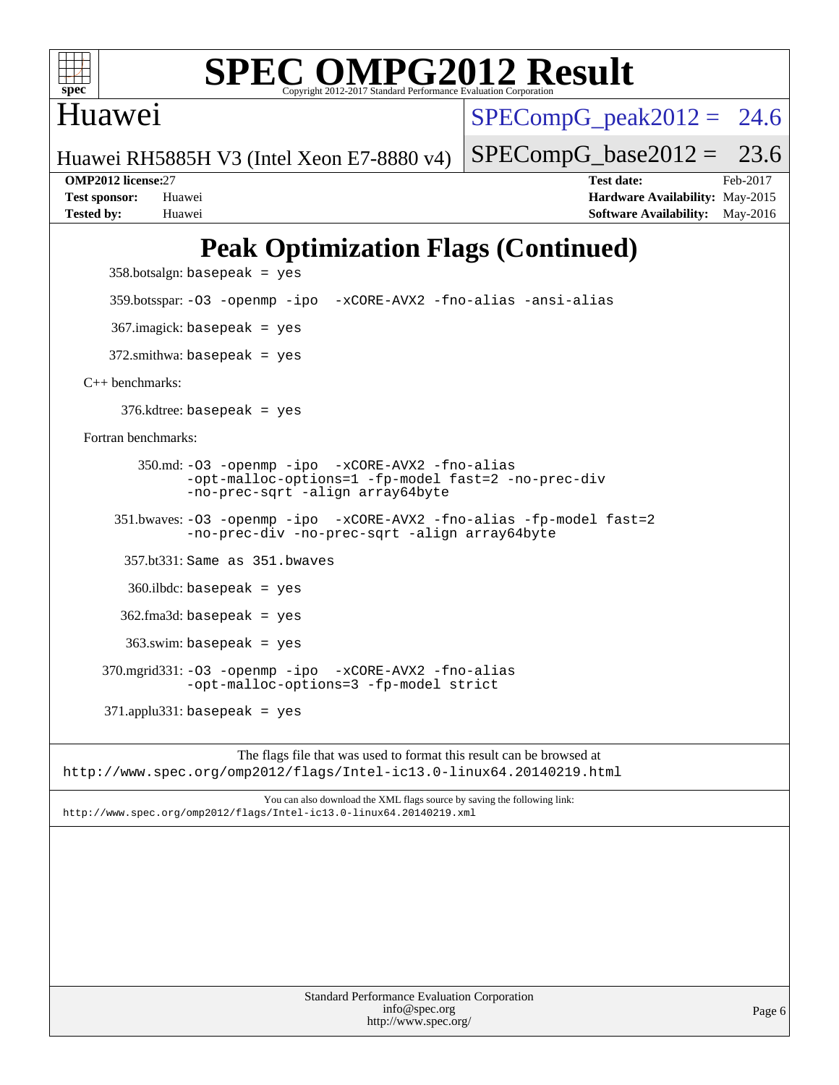

### Huawei

 $SPECompG_peak2012 = 24.6$  $SPECompG_peak2012 = 24.6$ 

 $SPECompG_base2012 = 23.6$  $SPECompG_base2012 = 23.6$ 

Huawei RH5885H V3 (Intel Xeon E7-8880 v4)

**[Tested by:](http://www.spec.org/auto/omp2012/Docs/result-fields.html#Testedby)** Huawei **[Software Availability:](http://www.spec.org/auto/omp2012/Docs/result-fields.html#SoftwareAvailability)** May-2016

**[OMP2012 license:](http://www.spec.org/auto/omp2012/Docs/result-fields.html#OMP2012license)**27 **[Test date:](http://www.spec.org/auto/omp2012/Docs/result-fields.html#Testdate)** Feb-2017 **[Test sponsor:](http://www.spec.org/auto/omp2012/Docs/result-fields.html#Testsponsor)** Huawei **[Hardware Availability:](http://www.spec.org/auto/omp2012/Docs/result-fields.html#HardwareAvailability)** May-2015

## **[Peak Optimization Flags \(Continued\)](http://www.spec.org/auto/omp2012/Docs/result-fields.html#PeakOptimizationFlags)**

 $358.botsalign: basepeak = yes$ 

359.botsspar: [-O3](http://www.spec.org/omp2012/results/res2017q1/omp2012-20170223-00095.flags.html#user_peakOPTIMIZE359_botsspar_f-O3) [-openmp](http://www.spec.org/omp2012/results/res2017q1/omp2012-20170223-00095.flags.html#user_peakOPTIMIZE359_botsspar_f-openmp) [-ipo](http://www.spec.org/omp2012/results/res2017q1/omp2012-20170223-00095.flags.html#user_peakOPTIMIZE359_botsspar_f-ipo_84062ab53814f613187d02344b8f49a7) [-xCORE-AVX2](http://www.spec.org/omp2012/results/res2017q1/omp2012-20170223-00095.flags.html#user_peakOPTIMIZE359_botsspar_f-xCORE-AVX2) [-fno-alias](http://www.spec.org/omp2012/results/res2017q1/omp2012-20170223-00095.flags.html#user_peakOPTIMIZE359_botsspar_f-no-alias_694e77f6c5a51e658e82ccff53a9e63a) [-ansi-alias](http://www.spec.org/omp2012/results/res2017q1/omp2012-20170223-00095.flags.html#user_peakCOPTIMIZE359_botsspar_f-ansi-alias)

367.imagick: basepeak = yes

 $372.\text{smithwa: basepeak}$  = yes

[C++ benchmarks:](http://www.spec.org/auto/omp2012/Docs/result-fields.html#CXXbenchmarks)

376.kdtree: basepeak = yes

[Fortran benchmarks](http://www.spec.org/auto/omp2012/Docs/result-fields.html#Fortranbenchmarks):

 350.md: [-O3](http://www.spec.org/omp2012/results/res2017q1/omp2012-20170223-00095.flags.html#user_peakOPTIMIZE350_md_f-O3) [-openmp](http://www.spec.org/omp2012/results/res2017q1/omp2012-20170223-00095.flags.html#user_peakOPTIMIZE350_md_f-openmp) [-ipo](http://www.spec.org/omp2012/results/res2017q1/omp2012-20170223-00095.flags.html#user_peakOPTIMIZE350_md_f-ipo_84062ab53814f613187d02344b8f49a7) [-xCORE-AVX2](http://www.spec.org/omp2012/results/res2017q1/omp2012-20170223-00095.flags.html#user_peakOPTIMIZE350_md_f-xCORE-AVX2) [-fno-alias](http://www.spec.org/omp2012/results/res2017q1/omp2012-20170223-00095.flags.html#user_peakOPTIMIZE350_md_f-no-alias_694e77f6c5a51e658e82ccff53a9e63a) [-opt-malloc-options=1](http://www.spec.org/omp2012/results/res2017q1/omp2012-20170223-00095.flags.html#user_peakOPTIMIZE350_md_f-opt-malloc-options_d882ffc6ff87e51efe45f9a5190004b0) [-fp-model fast=2](http://www.spec.org/omp2012/results/res2017q1/omp2012-20170223-00095.flags.html#user_peakFOPTIMIZE350_md_f-fp-model_a7fb8ccb7275e23f0079632c153cfcab) [-no-prec-div](http://www.spec.org/omp2012/results/res2017q1/omp2012-20170223-00095.flags.html#user_peakFOPTIMIZE350_md_f-no-prec-div) [-no-prec-sqrt](http://www.spec.org/omp2012/results/res2017q1/omp2012-20170223-00095.flags.html#user_peakFOPTIMIZE350_md_f-no-prec-sqrt) [-align array64byte](http://www.spec.org/omp2012/results/res2017q1/omp2012-20170223-00095.flags.html#user_peakFOPTIMIZE350_md_f-align_c9377f996e966d652baaf753401d4725)

 351.bwaves: [-O3](http://www.spec.org/omp2012/results/res2017q1/omp2012-20170223-00095.flags.html#user_peakOPTIMIZE351_bwaves_f-O3) [-openmp](http://www.spec.org/omp2012/results/res2017q1/omp2012-20170223-00095.flags.html#user_peakOPTIMIZE351_bwaves_f-openmp) [-ipo](http://www.spec.org/omp2012/results/res2017q1/omp2012-20170223-00095.flags.html#user_peakOPTIMIZE351_bwaves_f-ipo_84062ab53814f613187d02344b8f49a7) [-xCORE-AVX2](http://www.spec.org/omp2012/results/res2017q1/omp2012-20170223-00095.flags.html#user_peakOPTIMIZE351_bwaves_f-xCORE-AVX2) [-fno-alias](http://www.spec.org/omp2012/results/res2017q1/omp2012-20170223-00095.flags.html#user_peakOPTIMIZE351_bwaves_f-no-alias_694e77f6c5a51e658e82ccff53a9e63a) [-fp-model fast=2](http://www.spec.org/omp2012/results/res2017q1/omp2012-20170223-00095.flags.html#user_peakFOPTIMIZE351_bwaves_f-fp-model_a7fb8ccb7275e23f0079632c153cfcab) [-no-prec-div](http://www.spec.org/omp2012/results/res2017q1/omp2012-20170223-00095.flags.html#user_peakFOPTIMIZE351_bwaves_f-no-prec-div) [-no-prec-sqrt](http://www.spec.org/omp2012/results/res2017q1/omp2012-20170223-00095.flags.html#user_peakFOPTIMIZE351_bwaves_f-no-prec-sqrt) [-align array64byte](http://www.spec.org/omp2012/results/res2017q1/omp2012-20170223-00095.flags.html#user_peakFOPTIMIZE351_bwaves_f-align_c9377f996e966d652baaf753401d4725)

357.bt331: Same as 351.bwaves

360.ilbdc: basepeak = yes

362.fma3d: basepeak = yes

363.swim: basepeak = yes

 370.mgrid331: [-O3](http://www.spec.org/omp2012/results/res2017q1/omp2012-20170223-00095.flags.html#user_peakOPTIMIZE370_mgrid331_f-O3) [-openmp](http://www.spec.org/omp2012/results/res2017q1/omp2012-20170223-00095.flags.html#user_peakOPTIMIZE370_mgrid331_f-openmp) [-ipo](http://www.spec.org/omp2012/results/res2017q1/omp2012-20170223-00095.flags.html#user_peakOPTIMIZE370_mgrid331_f-ipo_84062ab53814f613187d02344b8f49a7) [-xCORE-AVX2](http://www.spec.org/omp2012/results/res2017q1/omp2012-20170223-00095.flags.html#user_peakOPTIMIZE370_mgrid331_f-xCORE-AVX2) [-fno-alias](http://www.spec.org/omp2012/results/res2017q1/omp2012-20170223-00095.flags.html#user_peakOPTIMIZE370_mgrid331_f-no-alias_694e77f6c5a51e658e82ccff53a9e63a) [-opt-malloc-options=3](http://www.spec.org/omp2012/results/res2017q1/omp2012-20170223-00095.flags.html#user_peakOPTIMIZE370_mgrid331_f-opt-malloc-options_13ab9b803cf986b4ee62f0a5998c2238) [-fp-model strict](http://www.spec.org/omp2012/results/res2017q1/omp2012-20170223-00095.flags.html#user_peakFOPTIMIZE370_mgrid331_f-fp-model_aee965c1c69e9213783f4e8f5bf0a1d3)

 $371$ .applu $331$ : basepeak = yes

The flags file that was used to format this result can be browsed at <http://www.spec.org/omp2012/flags/Intel-ic13.0-linux64.20140219.html>

You can also download the XML flags source by saving the following link: <http://www.spec.org/omp2012/flags/Intel-ic13.0-linux64.20140219.xml>